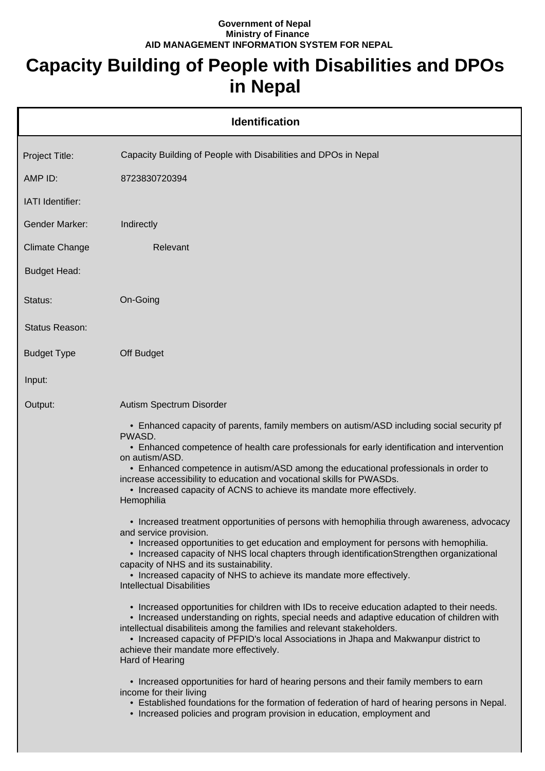## **Government of Nepal Ministry of Finance AID MANAGEMENT INFORMATION SYSTEM FOR NEPAL**

## **Capacity Building of People with Disabilities and DPOs in Nepal**

|                       | <b>Identification</b>                                                                                                                                                                                                                                                                                                                                                                                                                                                        |
|-----------------------|------------------------------------------------------------------------------------------------------------------------------------------------------------------------------------------------------------------------------------------------------------------------------------------------------------------------------------------------------------------------------------------------------------------------------------------------------------------------------|
| Project Title:        | Capacity Building of People with Disabilities and DPOs in Nepal                                                                                                                                                                                                                                                                                                                                                                                                              |
| AMP ID:               | 8723830720394                                                                                                                                                                                                                                                                                                                                                                                                                                                                |
| IATI Identifier:      |                                                                                                                                                                                                                                                                                                                                                                                                                                                                              |
| <b>Gender Marker:</b> | Indirectly                                                                                                                                                                                                                                                                                                                                                                                                                                                                   |
| <b>Climate Change</b> | Relevant                                                                                                                                                                                                                                                                                                                                                                                                                                                                     |
| <b>Budget Head:</b>   |                                                                                                                                                                                                                                                                                                                                                                                                                                                                              |
| Status:               | On-Going                                                                                                                                                                                                                                                                                                                                                                                                                                                                     |
| Status Reason:        |                                                                                                                                                                                                                                                                                                                                                                                                                                                                              |
| <b>Budget Type</b>    | Off Budget                                                                                                                                                                                                                                                                                                                                                                                                                                                                   |
| Input:                |                                                                                                                                                                                                                                                                                                                                                                                                                                                                              |
| Output:               | Autism Spectrum Disorder                                                                                                                                                                                                                                                                                                                                                                                                                                                     |
|                       | • Enhanced capacity of parents, family members on autism/ASD including social security pf<br>PWASD.<br>• Enhanced competence of health care professionals for early identification and intervention<br>on autism/ASD.<br>• Enhanced competence in autism/ASD among the educational professionals in order to<br>increase accessibility to education and vocational skills for PWASDs.<br>• Increased capacity of ACNS to achieve its mandate more effectively.<br>Hemophilia |
|                       | • Increased treatment opportunities of persons with hemophilia through awareness, advocacy<br>and service provision.<br>• Increased opportunities to get education and employment for persons with hemophilia.<br>• Increased capacity of NHS local chapters through identificationStrengthen organizational<br>capacity of NHS and its sustainability.<br>• Increased capacity of NHS to achieve its mandate more effectively.<br><b>Intellectual Disabilities</b>          |
|                       | • Increased opportunities for children with IDs to receive education adapted to their needs.<br>• Increased understanding on rights, special needs and adaptive education of children with<br>intellectual disabiliteis among the families and relevant stakeholders.<br>• Increased capacity of PFPID's local Associations in Jhapa and Makwanpur district to<br>achieve their mandate more effectively.<br>Hard of Hearing                                                 |
|                       | • Increased opportunities for hard of hearing persons and their family members to earn<br>income for their living<br>• Established foundations for the formation of federation of hard of hearing persons in Nepal.<br>• Increased policies and program provision in education, employment and                                                                                                                                                                               |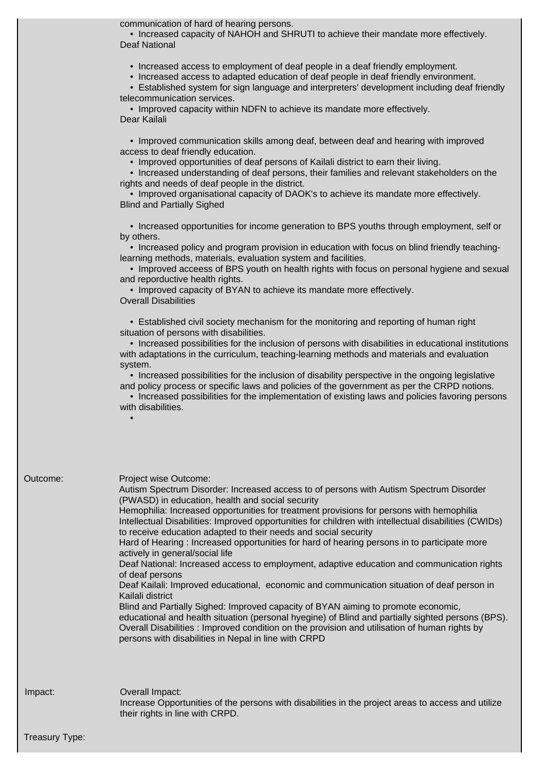communication of hard of hearing persons.

 • Increased capacity of NAHOH and SHRUTI to achieve their mandate more effectively. Deaf National

• Increased access to employment of deaf people in a deaf friendly employment.

• Increased access to adapted education of deaf people in deaf friendly environment.

 • Established system for sign language and interpreters' development including deaf friendly telecommunication services.

 • Improved capacity within NDFN to achieve its mandate more effectively. Dear Kailali

 • Improved communication skills among deaf, between deaf and hearing with improved access to deaf friendly education.

• Improved opportunities of deaf persons of Kailali district to earn their living.

 • Increased understanding of deaf persons, their families and relevant stakeholders on the rights and needs of deaf people in the district.

 • Improved organisational capacity of DAOK's to achieve its mandate more effectively. Blind and Partially Sighed

 • Increased opportunities for income generation to BPS youths through employment, self or by others.

 • Increased policy and program provision in education with focus on blind friendly teachinglearning methods, materials, evaluation system and facilities.

 • Improved acceess of BPS youth on health rights with focus on personal hygiene and sexual and reporductive health rights.

• Improved capacity of BYAN to achieve its mandate more effectively.

Overall Disabilities

 • Established civil society mechanism for the monitoring and reporting of human right situation of persons with disabilities.

 • Increased possibilities for the inclusion of persons with disabilities in educational institutions with adaptations in the curriculum, teaching-learning methods and materials and evaluation system.

 • Increased possibilities for the inclusion of disability perspective in the ongoing legislative and policy process or specific laws and policies of the government as per the CRPD notions.

 • Increased possibilities for the implementation of existing laws and policies favoring persons with disabilities.

•

| Outcome: | Project wise Outcome:<br>Autism Spectrum Disorder: Increased access to of persons with Autism Spectrum Disorder<br>(PWASD) in education, health and social security<br>Hemophilia: Increased opportunities for treatment provisions for persons with hemophilia<br>Intellectual Disabilities: Improved opportunities for children with intellectual disabilities (CWIDs)<br>to receive education adapted to their needs and social security<br>Hard of Hearing : Increased opportunities for hard of hearing persons in to participate more<br>actively in general/social life<br>Deaf National: Increased access to employment, adaptive education and communication rights<br>of deaf persons<br>Deaf Kailali: Improved educational, economic and communication situation of deaf person in<br>Kailali district<br>Blind and Partially Sighed: Improved capacity of BYAN aiming to promote economic,<br>educational and health situation (personal hyegine) of Blind and partially sighted persons (BPS).<br>Overall Disabilities : Improved condition on the provision and utilisation of human rights by<br>persons with disabilities in Nepal in line with CRPD |
|----------|----------------------------------------------------------------------------------------------------------------------------------------------------------------------------------------------------------------------------------------------------------------------------------------------------------------------------------------------------------------------------------------------------------------------------------------------------------------------------------------------------------------------------------------------------------------------------------------------------------------------------------------------------------------------------------------------------------------------------------------------------------------------------------------------------------------------------------------------------------------------------------------------------------------------------------------------------------------------------------------------------------------------------------------------------------------------------------------------------------------------------------------------------------------------|
| Impact:  | Overall Impact:<br>Increase Opportunities of the persons with disabilities in the project areas to access and utilize<br>their rights in line with CRPD.                                                                                                                                                                                                                                                                                                                                                                                                                                                                                                                                                                                                                                                                                                                                                                                                                                                                                                                                                                                                             |

Treasury Type: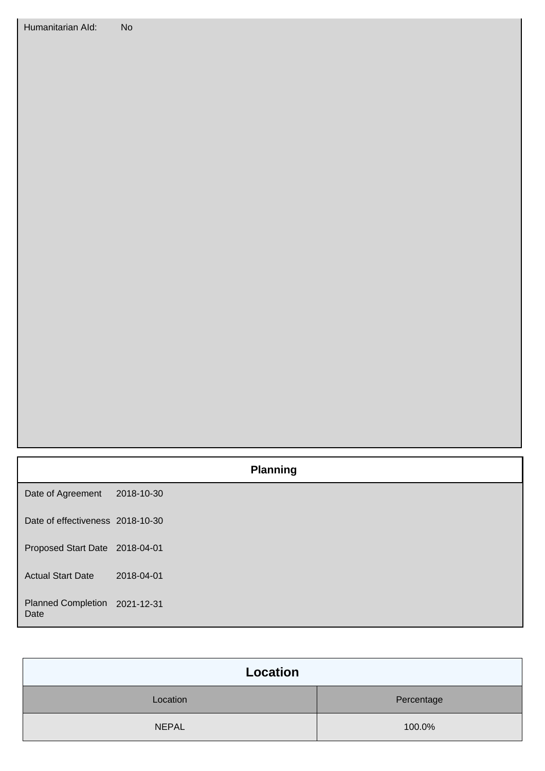|                                       |            | <b>Planning</b> |
|---------------------------------------|------------|-----------------|
| Date of Agreement                     | 2018-10-30 |                 |
| Date of effectiveness 2018-10-30      |            |                 |
| Proposed Start Date 2018-04-01        |            |                 |
| <b>Actual Start Date</b>              | 2018-04-01 |                 |
| Planned Completion 2021-12-31<br>Date |            |                 |

| Location     |            |  |
|--------------|------------|--|
| Location     | Percentage |  |
| <b>NEPAL</b> | 100.0%     |  |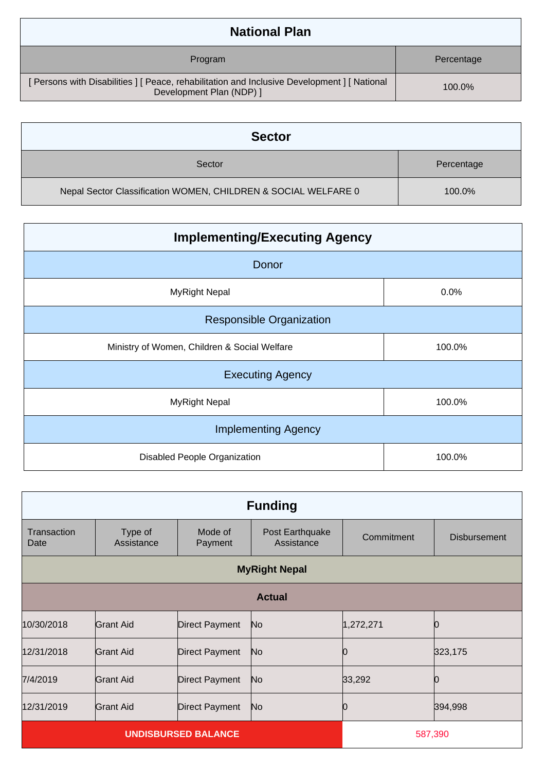| <b>National Plan</b>                                                                                                     |            |  |
|--------------------------------------------------------------------------------------------------------------------------|------------|--|
| Program                                                                                                                  | Percentage |  |
| [ Persons with Disabilities ] [ Peace, rehabilitation and Inclusive Development ] [ National<br>Development Plan (NDP) ] | 100.0%     |  |

| <b>Sector</b>                                                  |            |  |
|----------------------------------------------------------------|------------|--|
| Sector                                                         | Percentage |  |
| Nepal Sector Classification WOMEN, CHILDREN & SOCIAL WELFARE 0 | 100.0%     |  |

| <b>Implementing/Executing Agency</b>         |        |  |
|----------------------------------------------|--------|--|
| Donor                                        |        |  |
| <b>MyRight Nepal</b>                         | 0.0%   |  |
| <b>Responsible Organization</b>              |        |  |
| Ministry of Women, Children & Social Welfare | 100.0% |  |
| <b>Executing Agency</b>                      |        |  |
| <b>MyRight Nepal</b>                         | 100.0% |  |
| <b>Implementing Agency</b>                   |        |  |
| Disabled People Organization                 | 100.0% |  |

| <b>Funding</b>      |                            |                       |                               |            |                     |
|---------------------|----------------------------|-----------------------|-------------------------------|------------|---------------------|
| Transaction<br>Date | Type of<br>Assistance      | Mode of<br>Payment    | Post Earthquake<br>Assistance | Commitment | <b>Disbursement</b> |
|                     | <b>MyRight Nepal</b>       |                       |                               |            |                     |
|                     |                            |                       | <b>Actual</b>                 |            |                     |
| 10/30/2018          | Grant Aid                  | <b>Direct Payment</b> | No                            | 1,272,271  |                     |
| 12/31/2018          | Grant Aid                  | <b>Direct Payment</b> | No                            |            | 323,175             |
| 7/4/2019            | Grant Aid                  | <b>Direct Payment</b> | No                            | 33,292     |                     |
| 12/31/2019          | <b>Grant Aid</b>           | <b>Direct Payment</b> | No                            |            | 394,998             |
|                     | <b>UNDISBURSED BALANCE</b> |                       |                               | 587,390    |                     |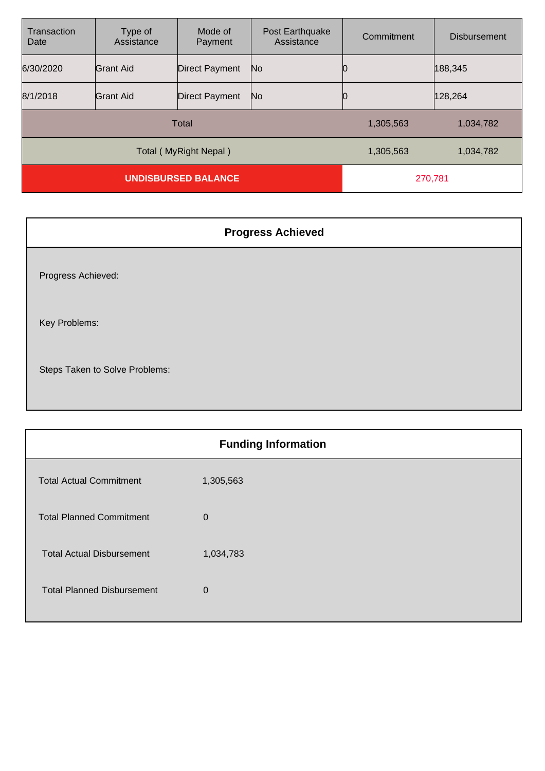| Transaction<br>Date        | Type of<br>Assistance | Mode of<br>Payment    | Post Earthquake<br>Assistance | Commitment | <b>Disbursement</b> |
|----------------------------|-----------------------|-----------------------|-------------------------------|------------|---------------------|
| 6/30/2020                  | <b>Grant Aid</b>      | <b>Direct Payment</b> | No                            |            | 188,345             |
| 8/1/2018                   | <b>Grant Aid</b>      | <b>Direct Payment</b> | No                            | Ю          | 128,264             |
| <b>Total</b>               |                       |                       | 1,305,563                     | 1,034,782  |                     |
| Total (MyRight Nepal)      |                       |                       | 1,305,563                     | 1,034,782  |                     |
| <b>UNDISBURSED BALANCE</b> |                       |                       | 270,781                       |            |                     |

| <b>Progress Achieved</b>       |  |
|--------------------------------|--|
| Progress Achieved:             |  |
| Key Problems:                  |  |
| Steps Taken to Solve Problems: |  |

| <b>Funding Information</b>        |              |  |
|-----------------------------------|--------------|--|
| <b>Total Actual Commitment</b>    | 1,305,563    |  |
| <b>Total Planned Commitment</b>   | $\mathbf{0}$ |  |
| <b>Total Actual Disbursement</b>  | 1,034,783    |  |
| <b>Total Planned Disbursement</b> | $\Omega$     |  |